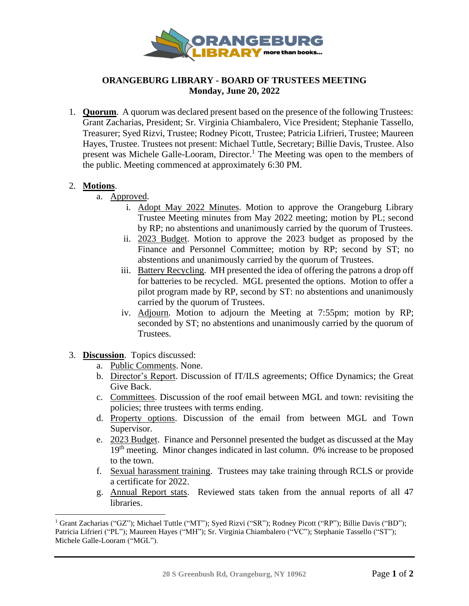

## **ORANGEBURG LIBRARY - BOARD OF TRUSTEES MEETING Monday, June 20, 2022**

1. **Quorum**. A quorum was declared present based on the presence of the following Trustees: Grant Zacharias, President; Sr. Virginia Chiambalero, Vice President; Stephanie Tassello, Treasurer; Syed Rizvi, Trustee; Rodney Picott, Trustee; Patricia Lifrieri, Trustee; Maureen Hayes, Trustee. Trustees not present: Michael Tuttle, Secretary; Billie Davis, Trustee. Also present was Michele Galle-Looram, Director.<sup>1</sup> The Meeting was open to the members of the public. Meeting commenced at approximately 6:30 PM.

## 2. **Motions**.

- a. Approved.
	- i. Adopt May 2022 Minutes. Motion to approve the Orangeburg Library Trustee Meeting minutes from May 2022 meeting; motion by PL; second by RP; no abstentions and unanimously carried by the quorum of Trustees.
	- ii. 2023 Budget. Motion to approve the 2023 budget as proposed by the Finance and Personnel Committee; motion by RP; second by ST; no abstentions and unanimously carried by the quorum of Trustees.
	- iii. Battery Recycling. MH presented the idea of offering the patrons a drop off for batteries to be recycled. MGL presented the options. Motion to offer a pilot program made by RP, second by ST: no abstentions and unanimously carried by the quorum of Trustees.
	- iv. Adjourn. Motion to adjourn the Meeting at 7:55pm; motion by RP; seconded by ST; no abstentions and unanimously carried by the quorum of Trustees.
- 3. **Discussion**. Topics discussed:
	- a. Public Comments. None.
	- b. Director's Report. Discussion of IT/ILS agreements; Office Dynamics; the Great Give Back.
	- c. Committees. Discussion of the roof email between MGL and town: revisiting the policies; three trustees with terms ending.
	- d. Property options. Discussion of the email from between MGL and Town Supervisor.
	- e. 2023 Budget. Finance and Personnel presented the budget as discussed at the May 19<sup>th</sup> meeting. Minor changes indicated in last column. 0% increase to be proposed to the town.
	- f. Sexual harassment training. Trustees may take training through RCLS or provide a certificate for 2022.
	- g. Annual Report stats. Reviewed stats taken from the annual reports of all 47 libraries.

<sup>&</sup>lt;sup>1</sup> Grant Zacharias ("GZ"); Michael Tuttle ("MT"); Syed Rizvi ("SR"); Rodney Picott ("RP"); Billie Davis ("BD"); Patricia Lifrieri ("PL"); Maureen Hayes ("MH"); Sr. Virginia Chiambalero ("VC"); Stephanie Tassello ("ST"); Michele Galle-Looram ("MGL").